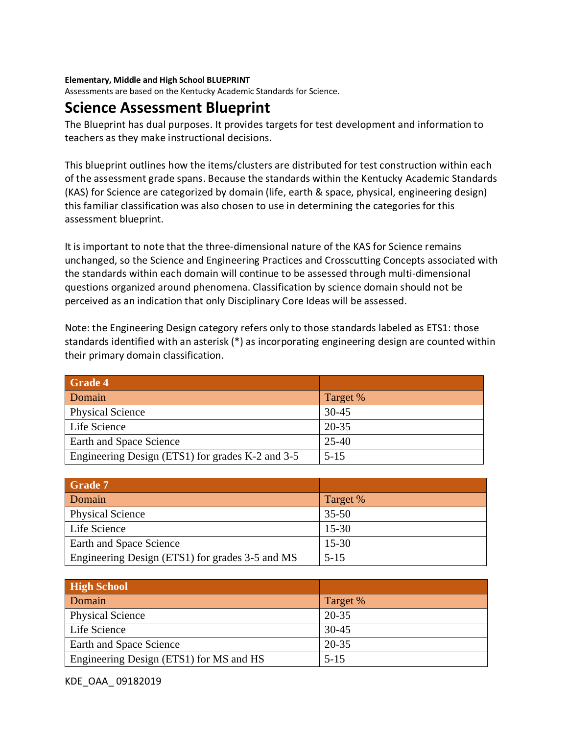## **Elementary, Middle and High School BLUEPRINT**

Assessments are based on the Kentucky Academic Standards for Science.

## **Science Assessment Blueprint**

The Blueprint has dual purposes. It provides targets for test development and information to teachers as they make instructional decisions.

This blueprint outlines how the items/clusters are distributed for test construction within each of the assessment grade spans. Because the standards within the Kentucky Academic Standards (KAS) for Science are categorized by domain (life, earth & space, physical, engineering design) this familiar classification was also chosen to use in determining the categories for this assessment blueprint.

It is important to note that the three-dimensional nature of the KAS for Science remains unchanged, so the Science and Engineering Practices and Crosscutting Concepts associated with the standards within each domain will continue to be assessed through multi-dimensional questions organized around phenomena. Classification by science domain should not be perceived as an indication that only Disciplinary Core Ideas will be assessed.

Note: the Engineering Design category refers only to those standards labeled as ETS1: those standards identified with an asterisk (\*) as incorporating engineering design are counted within their primary domain classification.

| <b>Grade 4</b>                                   |           |
|--------------------------------------------------|-----------|
| Domain                                           | Target %  |
| <b>Physical Science</b>                          | $30 - 45$ |
| Life Science                                     | 20-35     |
| Earth and Space Science                          | 25-40     |
| Engineering Design (ETS1) for grades K-2 and 3-5 | $5 - 15$  |

| <b>Grade 7</b>                                  |           |
|-------------------------------------------------|-----------|
| Domain                                          | Target %  |
| <b>Physical Science</b>                         | $35 - 50$ |
| Life Science                                    | $15-30$   |
| Earth and Space Science                         | $15 - 30$ |
| Engineering Design (ETS1) for grades 3-5 and MS | $5 - 15$  |

| <b>High School</b>                      |           |
|-----------------------------------------|-----------|
| Domain                                  | Target %  |
| <b>Physical Science</b>                 | 20-35     |
| Life Science                            | $30 - 45$ |
| Earth and Space Science                 | 20-35     |
| Engineering Design (ETS1) for MS and HS | $5 - 15$  |

KDE\_OAA\_ 09182019